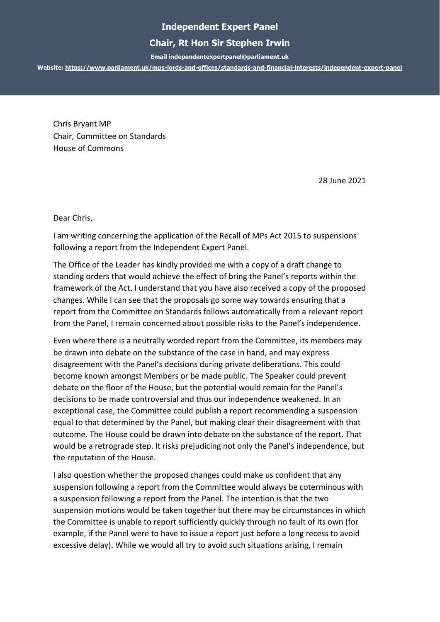## **Independent Expert Panel**

## **Chair, Rt Hon Sir Stephen Irwin**

**Emai[l independentexpertpanel@parliament.uk](mailto:independentexpertpanel@parliament.uk)**

**Website:<https://www.parliament.uk/mps-lords-and-offices/standards-and-financial-interests/independent-expert-panel>**

Chris Bryant MP Chair, Committee on Standards House of Commons

28 June 2021

Dear Chris,

I am writing concerning the application of the Recall of MPs Act 2015 to suspensions following a report from the Independent Expert Panel.

The Office of the Leader has kindly provided me with a copy of a draft change to standing orders that would achieve the effect of bring the Panel's reports within the framework of the Act. I understand that you have also received a copy of the proposed changes. While I can see that the proposals go some way towards ensuring that a report from the Committee on Standards follows automatically from a relevant report from the Panel, I remain concerned about possible risks to the Panel's independence.

Even where there is a neutrally worded report from the Committee, its members may be drawn into debate on the substance of the case in hand, and may express disagreement with the Panel's decisions during private deliberations. This could become known amongst Members or be made public. The Speaker could prevent debate on the floor of the House, but the potential would remain for the Panel's decisions to be made controversial and thus our independence weakened. In an exceptional case, the Committee could publish a report recommending a suspension equal to that determined by the Panel, but making clear their disagreement with that outcome. The House could be drawn into debate on the substance of the report. That would be a retrograde step. It risks prejudicing not only the Panel's independence, but the reputation of the House.

I also question whether the proposed changes could make us confident that any suspension following a report from the Committee would always be coterminous with a suspension following a report from the Panel. The intention is that the two suspension motions would be taken together but there may be circumstances in which the Committee is unable to report sufficiently quickly through no fault of its own (for example, if the Panel were to have to issue a report just before a long recess to avoid excessive delay). While we would all try to avoid such situations arising, I remain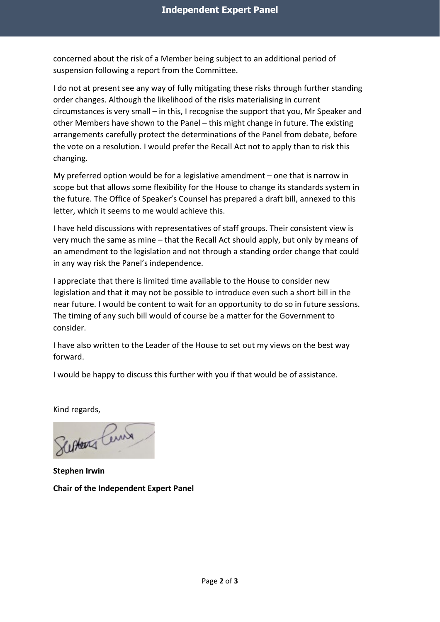concerned about the risk of a Member being subject to an additional period of suspension following a report from the Committee.

I do not at present see any way of fully mitigating these risks through further standing order changes. Although the likelihood of the risks materialising in current circumstances is very small – in this, I recognise the support that you, Mr Speaker and other Members have shown to the Panel – this might change in future. The existing arrangements carefully protect the determinations of the Panel from debate, before the vote on a resolution. I would prefer the Recall Act not to apply than to risk this changing.

My preferred option would be for a legislative amendment – one that is narrow in scope but that allows some flexibility for the House to change its standards system in the future. The Office of Speaker's Counsel has prepared a draft bill, annexed to this letter, which it seems to me would achieve this.

I have held discussions with representatives of staff groups. Their consistent view is very much the same as mine – that the Recall Act should apply, but only by means of an amendment to the legislation and not through a standing order change that could in any way risk the Panel's independence.

I appreciate that there is limited time available to the House to consider new legislation and that it may not be possible to introduce even such a short bill in the near future. I would be content to wait for an opportunity to do so in future sessions. The timing of any such bill would of course be a matter for the Government to consider.

I have also written to the Leader of the House to set out my views on the best way forward.

I would be happy to discuss this further with you if that would be of assistance.

Kind regards,

Scotland Center

**Stephen Irwin Chair of the Independent Expert Panel**